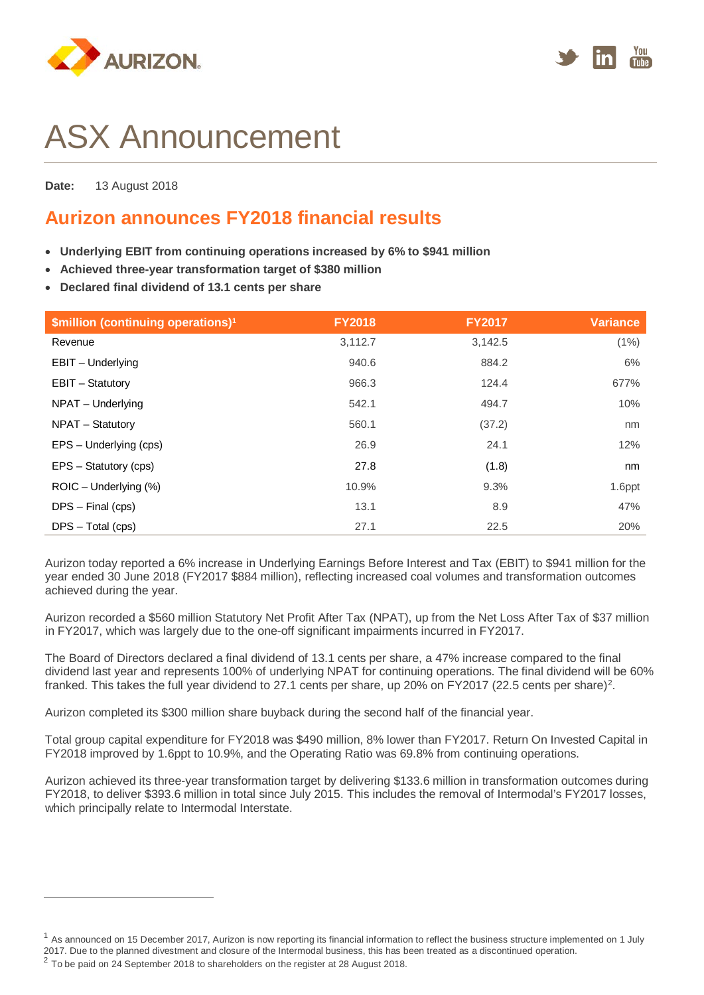



# ASX Announcement

**Date:** 13 August 2018

# **Aurizon announces FY2018 financial results**

- **Underlying EBIT from continuing operations increased by 6% to \$941 million**
- **Achieved three-year transformation target of \$380 million**
- **Declared final dividend of 13.1 cents per share**

| \$million (continuing operations) <sup>1</sup> | <b>FY2018</b> | <b>FY2017</b> | <b>Variance</b> |
|------------------------------------------------|---------------|---------------|-----------------|
| Revenue                                        | 3.112.7       | 3.142.5       | (1%)            |
| EBIT - Underlying                              | 940.6         | 884.2         | 6%              |
| EBIT - Statutory                               | 966.3         | 124.4         | 677%            |
| NPAT - Underlying                              | 542.1         | 494.7         | 10%             |
| NPAT - Statutory                               | 560.1         | (37.2)        | nm              |
| EPS - Underlying (cps)                         | 26.9          | 24.1          | 12%             |
| EPS - Statutory (cps)                          | 27.8          | (1.8)         | nm              |
| ROIC - Underlying (%)                          | 10.9%         | 9.3%          | 1.6ppt          |
| $DPS$ – Final (cps)                            | 13.1          | 8.9           | 47%             |
| $DPS - Total (cps)$                            | 27.1          | 22.5          | 20%             |

Aurizon today reported a 6% increase in Underlying Earnings Before Interest and Tax (EBIT) to \$941 million for the year ended 30 June 2018 (FY2017 \$884 million), reflecting increased coal volumes and transformation outcomes achieved during the year.

Aurizon recorded a \$560 million Statutory Net Profit After Tax (NPAT), up from the Net Loss After Tax of \$37 million in FY2017, which was largely due to the one-off significant impairments incurred in FY2017.

The Board of Directors declared a final dividend of 13.1 cents per share, a 47% increase compared to the final dividend last year and represents 100% of underlying NPAT for continuing operations. The final dividend will be 60% franked. This takes the full year dividend to 27.1 cents per share, up 20% on FY2017 (2[2.](#page-0-1)5 cents per share)<sup>2</sup>.

Aurizon completed its \$300 million share buyback during the second half of the financial year.

Total group capital expenditure for FY2018 was \$490 million, 8% lower than FY2017. Return On Invested Capital in FY2018 improved by 1.6ppt to 10.9%, and the Operating Ratio was 69.8% from continuing operations.

Aurizon achieved its three-year transformation target by delivering \$133.6 million in transformation outcomes during FY2018, to deliver \$393.6 million in total since July 2015. This includes the removal of Intermodal's FY2017 losses, which principally relate to Intermodal Interstate.

 $\overline{a}$ 

<span id="page-0-0"></span><sup>&</sup>lt;sup>1</sup> As announced on 15 December 2017, Aurizon is now reporting its financial information to reflect the business structure implemented on 1 July 2017. Due to the planned divestment and closure of the Intermodal business, this has been treated as a discontinued operation.

<span id="page-0-1"></span><sup>&</sup>lt;sup>2</sup> To be paid on 24 September 2018 to shareholders on the register at 28 August 2018.